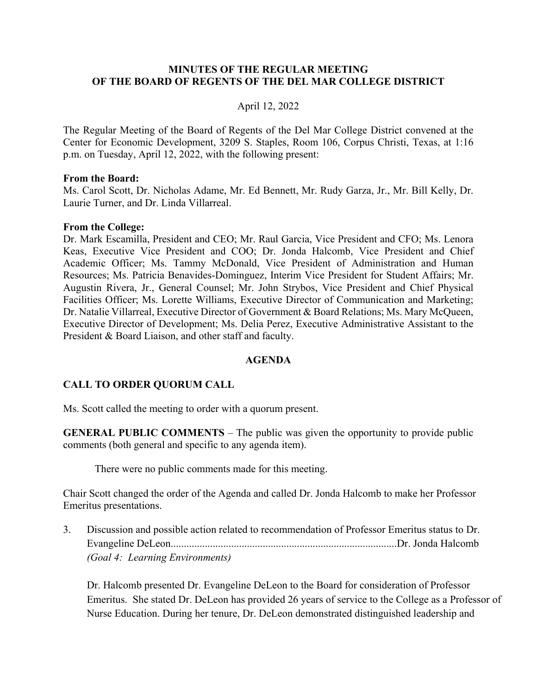### **MINUTES OF THE REGULAR MEETING OF THE BOARD OF REGENTS OF THE DEL MAR COLLEGE DISTRICT**

### April 12, 2022

The Regular Meeting of the Board of Regents of the Del Mar College District convened at the Center for Economic Development, 3209 S. Staples, Room 106, Corpus Christi, Texas, at 1:16 p.m. on Tuesday, April 12, 2022, with the following present:

#### **From the Board:**

Ms. Carol Scott, Dr. Nicholas Adame, Mr. Ed Bennett, Mr. Rudy Garza, Jr., Mr. Bill Kelly, Dr. Laurie Turner, and Dr. Linda Villarreal.

#### **From the College:**

Dr. Mark Escamilla, President and CEO; Mr. Raul Garcia, Vice President and CFO; Ms. Lenora Keas, Executive Vice President and COO; Dr. Jonda Halcomb, Vice President and Chief Academic Officer; Ms. Tammy McDonald, Vice President of Administration and Human Resources; Ms. Patricia Benavides-Dominguez, Interim Vice President for Student Affairs; Mr. Augustin Rivera, Jr., General Counsel; Mr. John Strybos, Vice President and Chief Physical Facilities Officer; Ms. Lorette Williams, Executive Director of Communication and Marketing; Dr. Natalie Villarreal, Executive Director of Government & Board Relations; Ms. Mary McQueen, Executive Director of Development; Ms. Delia Perez, Executive Administrative Assistant to the President & Board Liaison, and other staff and faculty.

### **AGENDA**

### **CALL TO ORDER QUORUM CALL**

Ms. Scott called the meeting to order with a quorum present.

**GENERAL PUBLIC COMMENTS** – The public was given the opportunity to provide public comments (both general and specific to any agenda item).

There were no public comments made for this meeting.

Chair Scott changed the order of the Agenda and called Dr. Jonda Halcomb to make her Professor Emeritus presentations.

3. Discussion and possible action related to recommendation of Professor Emeritus status to Dr. Evangeline DeLeon......................................................................................Dr. Jonda Halcomb *(Goal 4: Learning Environments)* 

Dr. Halcomb presented Dr. Evangeline DeLeon to the Board for consideration of Professor Emeritus. She stated Dr. DeLeon has provided 26 years of service to the College as a Professor of Nurse Education. During her tenure, Dr. DeLeon demonstrated distinguished leadership and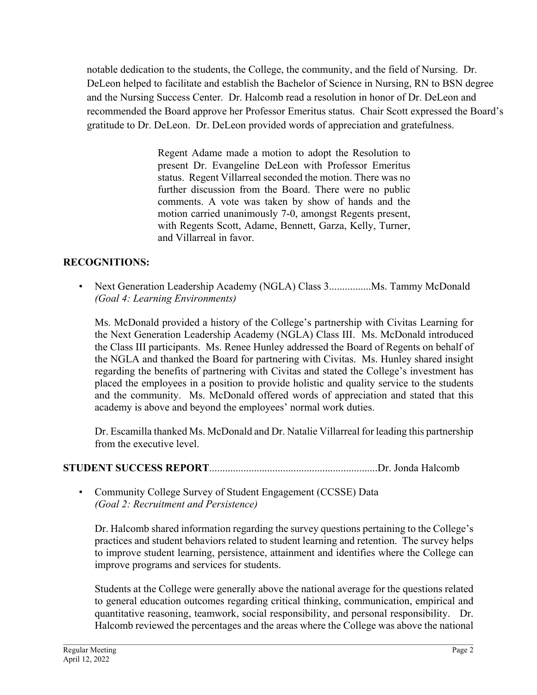notable dedication to the students, the College, the community, and the field of Nursing. Dr. DeLeon helped to facilitate and establish the Bachelor of Science in Nursing, RN to BSN degree and the Nursing Success Center. Dr. Halcomb read a resolution in honor of Dr. DeLeon and recommended the Board approve her Professor Emeritus status. Chair Scott expressed the Board's gratitude to Dr. DeLeon. Dr. DeLeon provided words of appreciation and gratefulness.

> Regent Adame made a motion to adopt the Resolution to present Dr. Evangeline DeLeon with Professor Emeritus status. Regent Villarreal seconded the motion. There was no further discussion from the Board. There were no public comments. A vote was taken by show of hands and the motion carried unanimously 7-0, amongst Regents present, with Regents Scott, Adame, Bennett, Garza, Kelly, Turner, and Villarreal in favor.

## **RECOGNITIONS:**

• Next Generation Leadership Academy (NGLA) Class 3................Ms. Tammy McDonald  *(Goal 4: Learning Environments)* 

Ms. McDonald provided a history of the College's partnership with Civitas Learning for the Next Generation Leadership Academy (NGLA) Class III. Ms. McDonald introduced the Class III participants. Ms. Renee Hunley addressed the Board of Regents on behalf of the NGLA and thanked the Board for partnering with Civitas. Ms. Hunley shared insight regarding the benefits of partnering with Civitas and stated the College's investment has placed the employees in a position to provide holistic and quality service to the students and the community. Ms. McDonald offered words of appreciation and stated that this academy is above and beyond the employees' normal work duties.

Dr. Escamilla thanked Ms. McDonald and Dr. Natalie Villarreal for leading this partnership from the executive level.

# **STUDENT SUCCESS REPORT**................................................................Dr. Jonda Halcomb

• Community College Survey of Student Engagement (CCSSE) Data *(Goal 2: Recruitment and Persistence)*

Dr. Halcomb shared information regarding the survey questions pertaining to the College's practices and student behaviors related to student learning and retention. The survey helps to improve student learning, persistence, attainment and identifies where the College can improve programs and services for students.

Students at the College were generally above the national average for the questions related to general education outcomes regarding critical thinking, communication, empirical and quantitative reasoning, teamwork, social responsibility, and personal responsibility. Dr. Halcomb reviewed the percentages and the areas where the College was above the national

\_\_\_\_\_\_\_\_\_\_\_\_\_\_\_\_\_\_\_\_\_\_\_\_\_\_\_\_\_\_\_\_\_\_\_\_\_\_\_\_\_\_\_\_\_\_\_\_\_\_\_\_\_\_\_\_\_\_\_\_\_\_\_\_\_\_\_\_\_\_\_\_\_\_\_\_\_\_\_\_\_\_\_\_\_\_\_\_\_\_\_\_\_\_\_\_\_\_\_\_\_\_\_\_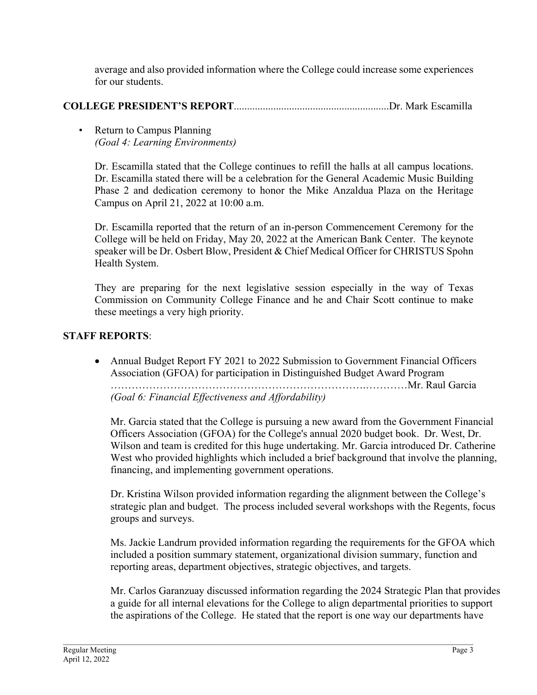average and also provided information where the College could increase some experiences for our students.

# **COLLEGE PRESIDENT'S REPORT**...........................................................Dr. Mark Escamilla

• Return to Campus Planning  *(Goal 4: Learning Environments)* 

Dr. Escamilla stated that the College continues to refill the halls at all campus locations. Dr. Escamilla stated there will be a celebration for the General Academic Music Building Phase 2 and dedication ceremony to honor the Mike Anzaldua Plaza on the Heritage Campus on April 21, 2022 at 10:00 a.m.

Dr. Escamilla reported that the return of an in-person Commencement Ceremony for the College will be held on Friday, May 20, 2022 at the American Bank Center. The keynote speaker will be Dr. Osbert Blow, President & Chief Medical Officer for CHRISTUS Spohn Health System.

They are preparing for the next legislative session especially in the way of Texas Commission on Community College Finance and he and Chair Scott continue to make these meetings a very high priority.

## **STAFF REPORTS**:

• Annual Budget Report FY 2021 to 2022 Submission to Government Financial Officers Association (GFOA) for participation in Distinguished Budget Award Program ……………………………………………………………….…………Mr. Raul Garcia *(Goal 6: Financial Effectiveness and Affordability)* 

Mr. Garcia stated that the College is pursuing a new award from the Government Financial Officers Association (GFOA) for the College's annual 2020 budget book. Dr. West, Dr. Wilson and team is credited for this huge undertaking. Mr. Garcia introduced Dr. Catherine West who provided highlights which included a brief background that involve the planning, financing, and implementing government operations.

Dr. Kristina Wilson provided information regarding the alignment between the College's strategic plan and budget. The process included several workshops with the Regents, focus groups and surveys.

Ms. Jackie Landrum provided information regarding the requirements for the GFOA which included a position summary statement, organizational division summary, function and reporting areas, department objectives, strategic objectives, and targets.

Mr. Carlos Garanzuay discussed information regarding the 2024 Strategic Plan that provides a guide for all internal elevations for the College to align departmental priorities to support the aspirations of the College. He stated that the report is one way our departments have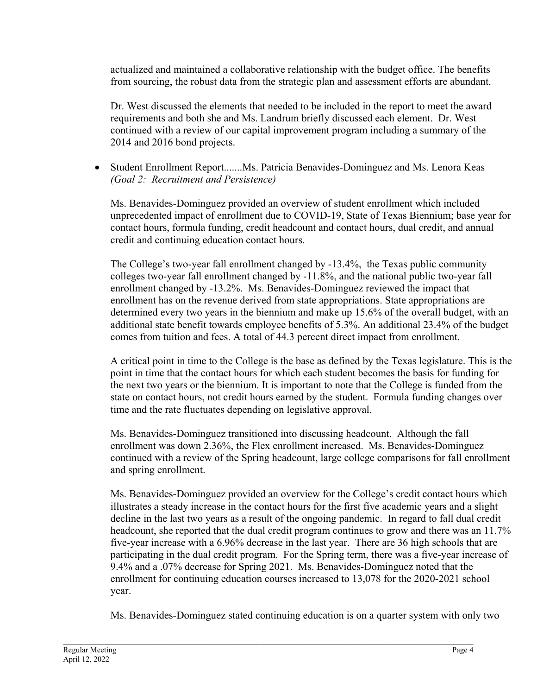actualized and maintained a collaborative relationship with the budget office. The benefits from sourcing, the robust data from the strategic plan and assessment efforts are abundant.

Dr. West discussed the elements that needed to be included in the report to meet the award requirements and both she and Ms. Landrum briefly discussed each element. Dr. West continued with a review of our capital improvement program including a summary of the 2014 and 2016 bond projects.

• Student Enrollment Report.......Ms. Patricia Benavides-Dominguez and Ms. Lenora Keas *(Goal 2: Recruitment and Persistence)* 

Ms. Benavides-Dominguez provided an overview of student enrollment which included unprecedented impact of enrollment due to COVID-19, State of Texas Biennium; base year for contact hours, formula funding, credit headcount and contact hours, dual credit, and annual credit and continuing education contact hours.

The College's two-year fall enrollment changed by -13.4%, the Texas public community colleges two-year fall enrollment changed by -11.8%, and the national public two-year fall enrollment changed by -13.2%. Ms. Benavides-Dominguez reviewed the impact that enrollment has on the revenue derived from state appropriations. State appropriations are determined every two years in the biennium and make up 15.6% of the overall budget, with an additional state benefit towards employee benefits of 5.3%. An additional 23.4% of the budget comes from tuition and fees. A total of 44.3 percent direct impact from enrollment.

A critical point in time to the College is the base as defined by the Texas legislature. This is the point in time that the contact hours for which each student becomes the basis for funding for the next two years or the biennium. It is important to note that the College is funded from the state on contact hours, not credit hours earned by the student. Formula funding changes over time and the rate fluctuates depending on legislative approval.

Ms. Benavides-Dominguez transitioned into discussing headcount. Although the fall enrollment was down 2.36%, the Flex enrollment increased. Ms. Benavides-Dominguez continued with a review of the Spring headcount, large college comparisons for fall enrollment and spring enrollment.

Ms. Benavides-Dominguez provided an overview for the College's credit contact hours which illustrates a steady increase in the contact hours for the first five academic years and a slight decline in the last two years as a result of the ongoing pandemic. In regard to fall dual credit headcount, she reported that the dual credit program continues to grow and there was an 11.7% five-year increase with a 6.96% decrease in the last year. There are 36 high schools that are participating in the dual credit program. For the Spring term, there was a five-year increase of 9.4% and a .07% decrease for Spring 2021. Ms. Benavides-Dominguez noted that the enrollment for continuing education courses increased to 13,078 for the 2020-2021 school year.

Ms. Benavides-Dominguez stated continuing education is on a quarter system with only two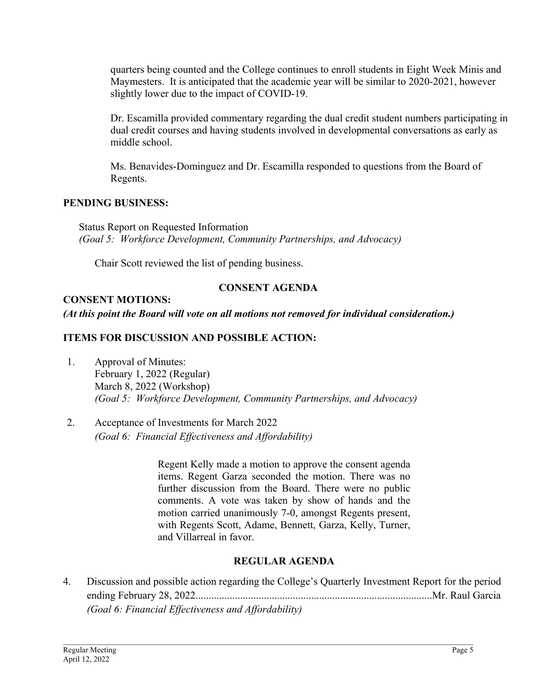quarters being counted and the College continues to enroll students in Eight Week Minis and Maymesters. It is anticipated that the academic year will be similar to 2020-2021, however slightly lower due to the impact of COVID-19.

Dr. Escamilla provided commentary regarding the dual credit student numbers participating in dual credit courses and having students involved in developmental conversations as early as middle school.

Ms. Benavides-Dominguez and Dr. Escamilla responded to questions from the Board of Regents.

### **PENDING BUSINESS:**

 Status Report on Requested Information *(Goal 5: Workforce Development, Community Partnerships, and Advocacy)* 

Chair Scott reviewed the list of pending business.

# **CONSENT AGENDA**

## **CONSENT MOTIONS:**

### *(At this point the Board will vote on all motions not removed for individual consideration.)*

### **ITEMS FOR DISCUSSION AND POSSIBLE ACTION:**

- 1. Approval of Minutes: February 1, 2022 (Regular) March 8, 2022 (Workshop)  *(Goal 5: Workforce Development, Community Partnerships, and Advocacy)*
- 2. Acceptance of Investments for March 2022 *(Goal 6: Financial Effectiveness and Affordability)*

Regent Kelly made a motion to approve the consent agenda items. Regent Garza seconded the motion. There was no further discussion from the Board. There were no public comments. A vote was taken by show of hands and the motion carried unanimously 7-0, amongst Regents present, with Regents Scott, Adame, Bennett, Garza, Kelly, Turner, and Villarreal in favor.

### **REGULAR AGENDA**

4. Discussion and possible action regarding the College's Quarterly Investment Report for the period ending February 28, 2022..........................................................................................Mr. Raul Garcia *(Goal 6: Financial Effectiveness and Affordability)* 

\_\_\_\_\_\_\_\_\_\_\_\_\_\_\_\_\_\_\_\_\_\_\_\_\_\_\_\_\_\_\_\_\_\_\_\_\_\_\_\_\_\_\_\_\_\_\_\_\_\_\_\_\_\_\_\_\_\_\_\_\_\_\_\_\_\_\_\_\_\_\_\_\_\_\_\_\_\_\_\_\_\_\_\_\_\_\_\_\_\_\_\_\_\_\_\_\_\_\_\_\_\_\_\_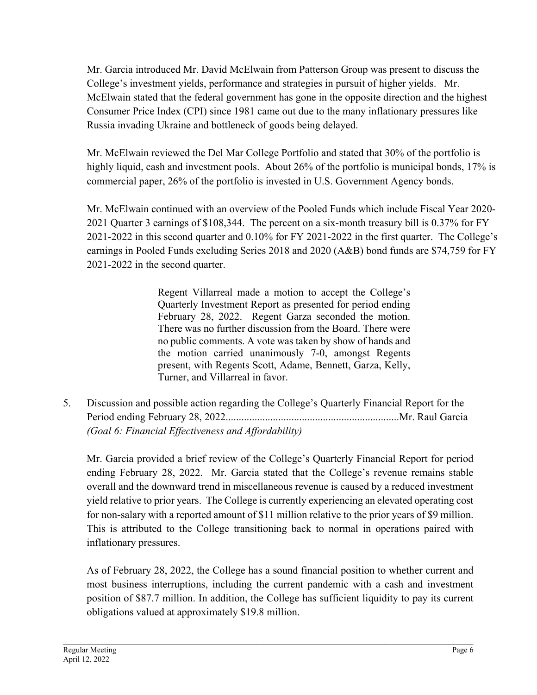Mr. Garcia introduced Mr. David McElwain from Patterson Group was present to discuss the College's investment yields, performance and strategies in pursuit of higher yields. Mr. McElwain stated that the federal government has gone in the opposite direction and the highest Consumer Price Index (CPI) since 1981 came out due to the many inflationary pressures like Russia invading Ukraine and bottleneck of goods being delayed.

Mr. McElwain reviewed the Del Mar College Portfolio and stated that 30% of the portfolio is highly liquid, cash and investment pools. About 26% of the portfolio is municipal bonds, 17% is commercial paper, 26% of the portfolio is invested in U.S. Government Agency bonds.

Mr. McElwain continued with an overview of the Pooled Funds which include Fiscal Year 2020- 2021 Quarter 3 earnings of \$108,344. The percent on a six-month treasury bill is 0.37% for FY 2021-2022 in this second quarter and 0.10% for FY 2021-2022 in the first quarter. The College's earnings in Pooled Funds excluding Series 2018 and 2020 (A&B) bond funds are \$74,759 for FY 2021-2022 in the second quarter.

> Regent Villarreal made a motion to accept the College's Quarterly Investment Report as presented for period ending February 28, 2022. Regent Garza seconded the motion. There was no further discussion from the Board. There were no public comments. A vote was taken by show of hands and the motion carried unanimously 7-0, amongst Regents present, with Regents Scott, Adame, Bennett, Garza, Kelly, Turner, and Villarreal in favor.

5. Discussion and possible action regarding the College's Quarterly Financial Report for the Period ending February 28, 2022..................................................................Mr. Raul Garcia *(Goal 6: Financial Effectiveness and Affordability)*

Mr. Garcia provided a brief review of the College's Quarterly Financial Report for period ending February 28, 2022. Mr. Garcia stated that the College's revenue remains stable overall and the downward trend in miscellaneous revenue is caused by a reduced investment yield relative to prior years. The College is currently experiencing an elevated operating cost for non-salary with a reported amount of \$11 million relative to the prior years of \$9 million. This is attributed to the College transitioning back to normal in operations paired with inflationary pressures.

As of February 28, 2022, the College has a sound financial position to whether current and most business interruptions, including the current pandemic with a cash and investment position of \$87.7 million. In addition, the College has sufficient liquidity to pay its current obligations valued at approximately \$19.8 million.

\_\_\_\_\_\_\_\_\_\_\_\_\_\_\_\_\_\_\_\_\_\_\_\_\_\_\_\_\_\_\_\_\_\_\_\_\_\_\_\_\_\_\_\_\_\_\_\_\_\_\_\_\_\_\_\_\_\_\_\_\_\_\_\_\_\_\_\_\_\_\_\_\_\_\_\_\_\_\_\_\_\_\_\_\_\_\_\_\_\_\_\_\_\_\_\_\_\_\_\_\_\_\_\_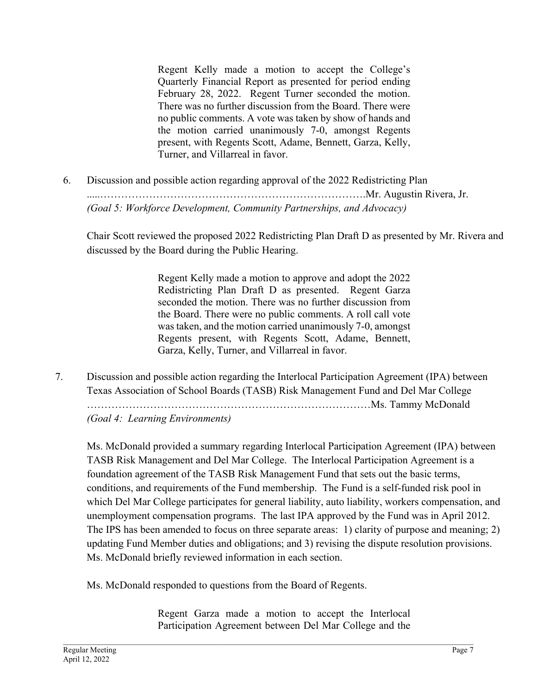Regent Kelly made a motion to accept the College's Quarterly Financial Report as presented for period ending February 28, 2022. Regent Turner seconded the motion. There was no further discussion from the Board. There were no public comments. A vote was taken by show of hands and the motion carried unanimously 7-0, amongst Regents present, with Regents Scott, Adame, Bennett, Garza, Kelly, Turner, and Villarreal in favor.

6. Discussion and possible action regarding approval of the 2022 Redistricting Plan .....………………………………………………………………….Mr. Augustin Rivera, Jr. *(Goal 5: Workforce Development, Community Partnerships, and Advocacy)* 

Chair Scott reviewed the proposed 2022 Redistricting Plan Draft D as presented by Mr. Rivera and discussed by the Board during the Public Hearing.

> Regent Kelly made a motion to approve and adopt the 2022 Redistricting Plan Draft D as presented. Regent Garza seconded the motion. There was no further discussion from the Board. There were no public comments. A roll call vote was taken, and the motion carried unanimously 7-0, amongst Regents present, with Regents Scott, Adame, Bennett, Garza, Kelly, Turner, and Villarreal in favor.

7. Discussion and possible action regarding the Interlocal Participation Agreement (IPA) between Texas Association of School Boards (TASB) Risk Management Fund and Del Mar College

………………………………………………………………………Ms. Tammy McDonald

*(Goal 4: Learning Environments)* 

Ms. McDonald provided a summary regarding Interlocal Participation Agreement (IPA) between TASB Risk Management and Del Mar College. The Interlocal Participation Agreement is a foundation agreement of the TASB Risk Management Fund that sets out the basic terms, conditions, and requirements of the Fund membership. The Fund is a self-funded risk pool in which Del Mar College participates for general liability, auto liability, workers compensation, and unemployment compensation programs. The last IPA approved by the Fund was in April 2012. The IPS has been amended to focus on three separate areas: 1) clarity of purpose and meaning; 2) updating Fund Member duties and obligations; and 3) revising the dispute resolution provisions. Ms. McDonald briefly reviewed information in each section.

Ms. McDonald responded to questions from the Board of Regents.

Regent Garza made a motion to accept the Interlocal Participation Agreement between Del Mar College and the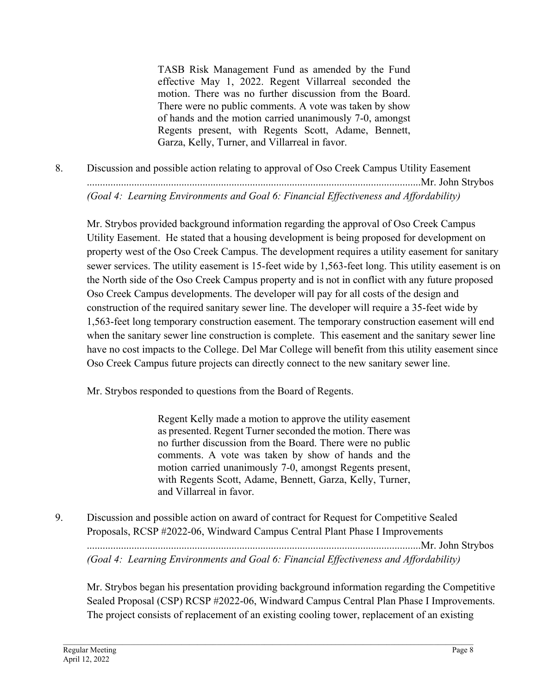TASB Risk Management Fund as amended by the Fund effective May 1, 2022. Regent Villarreal seconded the motion. There was no further discussion from the Board. There were no public comments. A vote was taken by show of hands and the motion carried unanimously 7-0, amongst Regents present, with Regents Scott, Adame, Bennett, Garza, Kelly, Turner, and Villarreal in favor.

8. Discussion and possible action relating to approval of Oso Creek Campus Utility Easement ...............................................................................................................................Mr. John Strybos *(Goal 4: Learning Environments and Goal 6: Financial Effectiveness and Affordability)* 

Mr. Strybos provided background information regarding the approval of Oso Creek Campus Utility Easement. He stated that a housing development is being proposed for development on property west of the Oso Creek Campus. The development requires a utility easement for sanitary sewer services. The utility easement is 15-feet wide by 1,563-feet long. This utility easement is on the North side of the Oso Creek Campus property and is not in conflict with any future proposed Oso Creek Campus developments. The developer will pay for all costs of the design and construction of the required sanitary sewer line. The developer will require a 35-feet wide by 1,563-feet long temporary construction easement. The temporary construction easement will end when the sanitary sewer line construction is complete. This easement and the sanitary sewer line have no cost impacts to the College. Del Mar College will benefit from this utility easement since Oso Creek Campus future projects can directly connect to the new sanitary sewer line.

Mr. Strybos responded to questions from the Board of Regents.

Regent Kelly made a motion to approve the utility easement as presented. Regent Turner seconded the motion. There was no further discussion from the Board. There were no public comments. A vote was taken by show of hands and the motion carried unanimously 7-0, amongst Regents present, with Regents Scott, Adame, Bennett, Garza, Kelly, Turner, and Villarreal in favor.

9. Discussion and possible action on award of contract for Request for Competitive Sealed Proposals, RCSP #2022-06, Windward Campus Central Plant Phase I Improvements ...............................................................................................................................Mr. John Strybos *(Goal 4: Learning Environments and Goal 6: Financial Effectiveness and Affordability)* 

Mr. Strybos began his presentation providing background information regarding the Competitive Sealed Proposal (CSP) RCSP #2022-06, Windward Campus Central Plan Phase I Improvements. The project consists of replacement of an existing cooling tower, replacement of an existing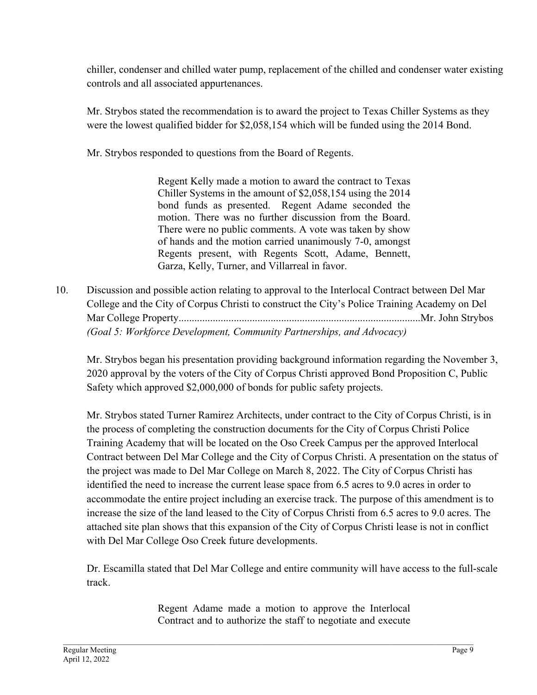chiller, condenser and chilled water pump, replacement of the chilled and condenser water existing controls and all associated appurtenances.

Mr. Strybos stated the recommendation is to award the project to Texas Chiller Systems as they were the lowest qualified bidder for \$2,058,154 which will be funded using the 2014 Bond.

Mr. Strybos responded to questions from the Board of Regents.

Regent Kelly made a motion to award the contract to Texas Chiller Systems in the amount of \$2,058,154 using the 2014 bond funds as presented. Regent Adame seconded the motion. There was no further discussion from the Board. There were no public comments. A vote was taken by show of hands and the motion carried unanimously 7-0, amongst Regents present, with Regents Scott, Adame, Bennett, Garza, Kelly, Turner, and Villarreal in favor.

10. Discussion and possible action relating to approval to the Interlocal Contract between Del Mar College and the City of Corpus Christi to construct the City's Police Training Academy on Del Mar College Property............................................................................................Mr. John Strybos *(Goal 5: Workforce Development, Community Partnerships, and Advocacy)* 

Mr. Strybos began his presentation providing background information regarding the November 3, 2020 approval by the voters of the City of Corpus Christi approved Bond Proposition C, Public Safety which approved \$2,000,000 of bonds for public safety projects.

Mr. Strybos stated Turner Ramirez Architects, under contract to the City of Corpus Christi, is in the process of completing the construction documents for the City of Corpus Christi Police Training Academy that will be located on the Oso Creek Campus per the approved Interlocal Contract between Del Mar College and the City of Corpus Christi. A presentation on the status of the project was made to Del Mar College on March 8, 2022. The City of Corpus Christi has identified the need to increase the current lease space from 6.5 acres to 9.0 acres in order to accommodate the entire project including an exercise track. The purpose of this amendment is to increase the size of the land leased to the City of Corpus Christi from 6.5 acres to 9.0 acres. The attached site plan shows that this expansion of the City of Corpus Christi lease is not in conflict with Del Mar College Oso Creek future developments.

Dr. Escamilla stated that Del Mar College and entire community will have access to the full-scale track.

> Regent Adame made a motion to approve the Interlocal Contract and to authorize the staff to negotiate and execute